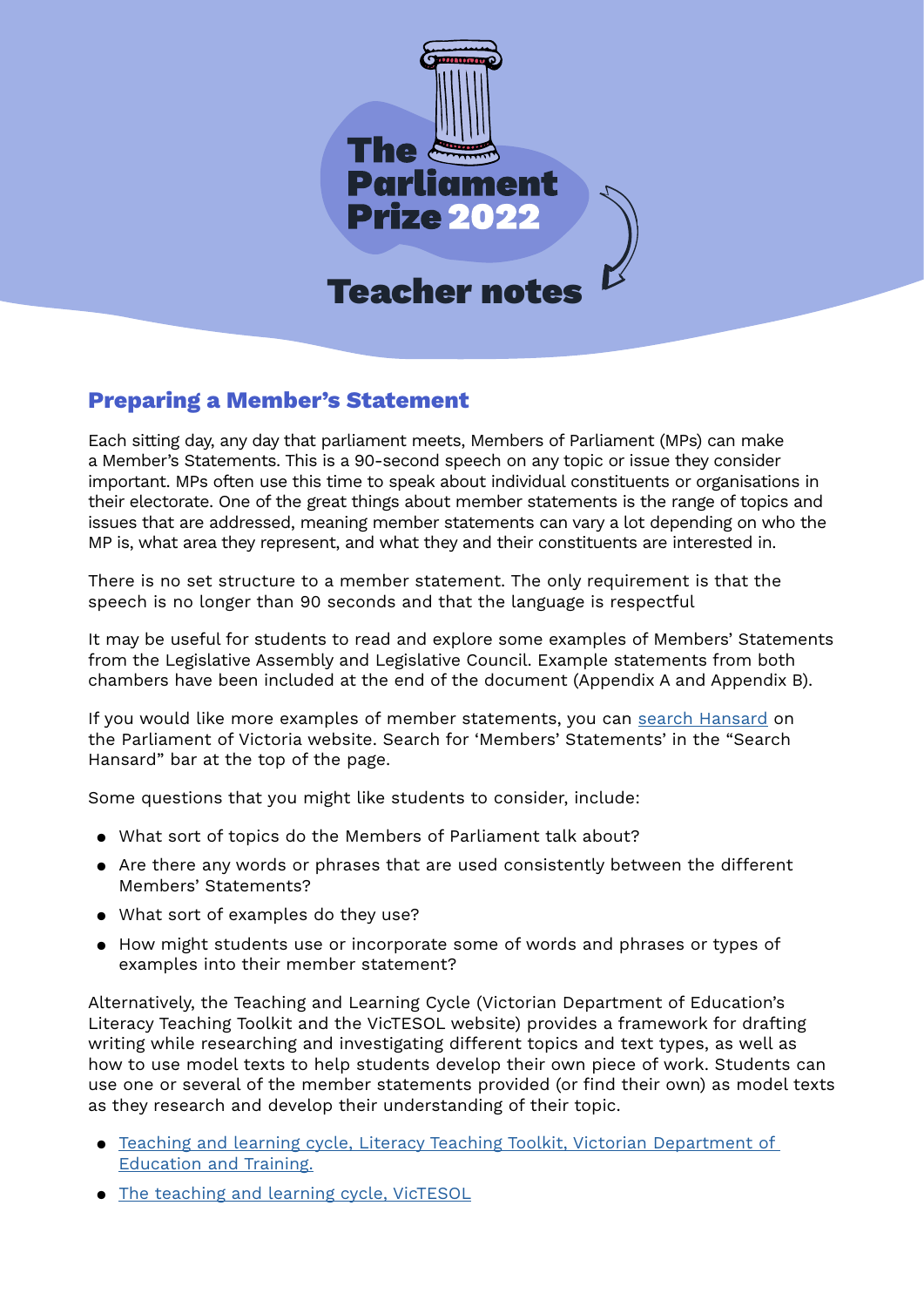

# **Preparing a Member's Statement**

Each sitting day, any day that parliament meets, Members of Parliament (MPs) can make a Member's Statements. This is a 90-second speech on any topic or issue they consider important. MPs often use this time to speak about individual constituents or organisations in their electorate. One of the great things about member statements is the range of topics and issues that are addressed, meaning member statements can vary a lot depending on who the MP is, what area they represent, and what they and their constituents are interested in.

There is no set structure to a member statement. The only requirement is that the speech is no longer than 90 seconds and that the language is respectful

It may be useful for students to read and explore some examples of Members' Statements from the Legislative Assembly and Legislative Council. Example statements from both chambers have been included at the end of the document (Appendix A and Appendix B).

If you would like more examples of member statements, you can [search Hansard](https://www.parliament.vic.gov.au/hansard) on the Parliament of Victoria website. Search for 'Members' Statements' in the "Search Hansard" bar at the top of the page.

Some questions that you might like students to consider, include:

- What sort of topics do the Members of Parliament talk about?
- Are there any words or phrases that are used consistently between the different Members' Statements?
- What sort of examples do they use?
- How might students use or incorporate some of words and phrases or types of examples into their member statement?

Alternatively, the Teaching and Learning Cycle (Victorian Department of Education's Literacy Teaching Toolkit and the VicTESOL website) provides a framework for drafting writing while researching and investigating different topics and text types, as well as how to use model texts to help students develop their own piece of work. Students can use one or several of the member statements provided (or find their own) as model texts as they research and develop their understanding of their topic.

- [Teaching and learning cycle, Literacy Teaching Toolkit, Victorian Department of](https://www.education.vic.gov.au/school/teachers/teachingresources/discipline/english/literacy/writing/Pages/approachescycle.aspx)  [Education and Training.](https://www.education.vic.gov.au/school/teachers/teachingresources/discipline/english/literacy/writing/Pages/approachescycle.aspx)
- [The teaching and learning cycle, VicTESOL](https://victesol.vic.edu.au/index.php/teaching-and-learning-cycle-project/the-teaching-and-learning-cycle/)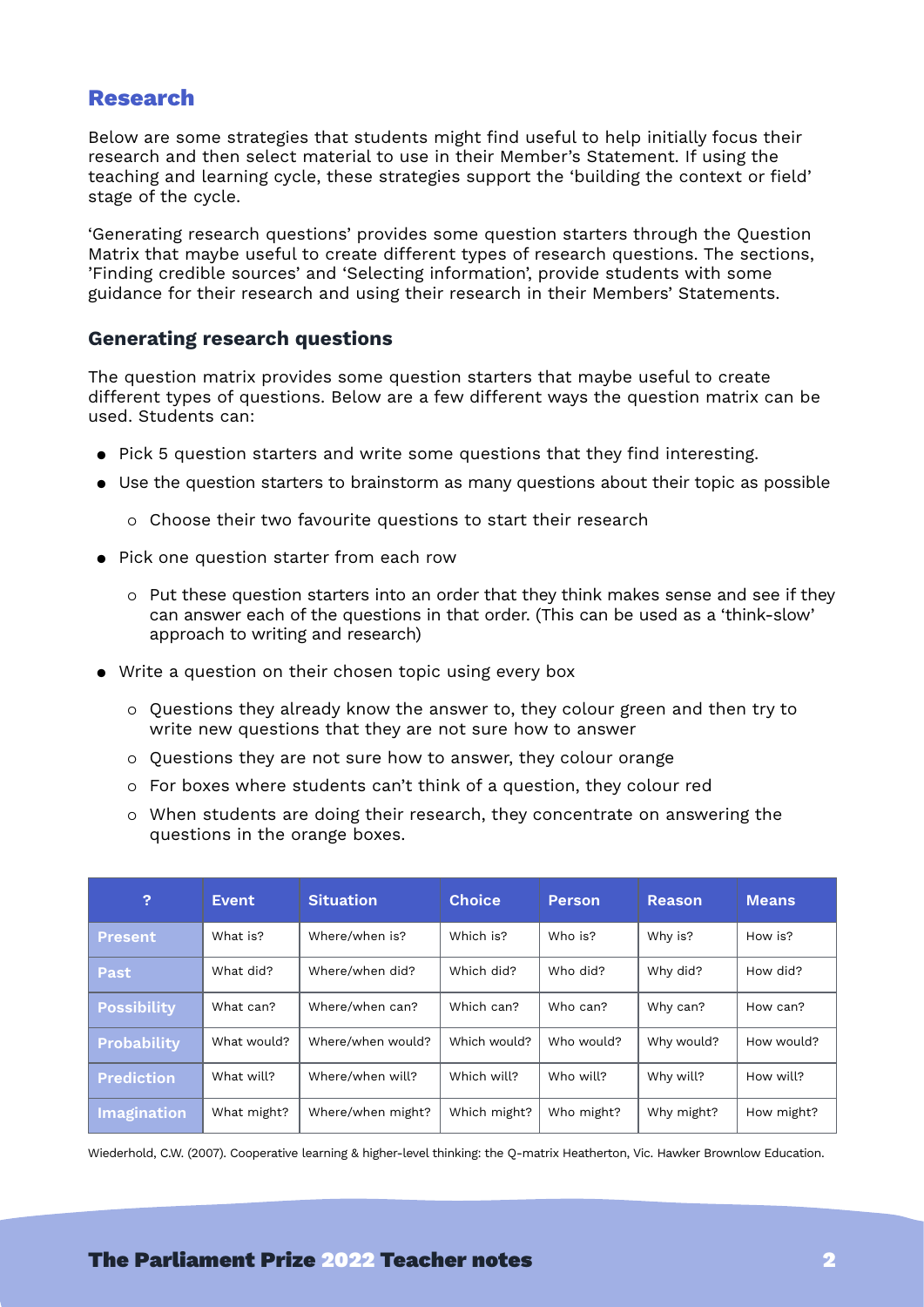# **Research**

Below are some strategies that students might find useful to help initially focus their research and then select material to use in their Member's Statement. If using the teaching and learning cycle, these strategies support the 'building the context or field' stage of the cycle.

'Generating research questions' provides some question starters through the Question Matrix that maybe useful to create different types of research questions. The sections, 'Finding credible sources' and 'Selecting information', provide students with some guidance for their research and using their research in their Members' Statements.

## **Generating research questions**

The question matrix provides some question starters that maybe useful to create different types of questions. Below are a few different ways the question matrix can be used. Students can:

- Pick 5 question starters and write some questions that they find interesting.
- Use the question starters to brainstorm as many questions about their topic as possible
	- Choose their two favourite questions to start their research
- Pick one question starter from each row
	- Put these question starters into an order that they think makes sense and see if they can answer each of the questions in that order. (This can be used as a 'think-slow' approach to writing and research)
- Write a question on their chosen topic using every box
	- Questions they already know the answer to, they colour green and then try to write new questions that they are not sure how to answer
	- Questions they are not sure how to answer, they colour orange
	- For boxes where students can't think of a question, they colour red
	- When students are doing their research, they concentrate on answering the questions in the orange boxes.

| ?                  | <b>Event</b> | <b>Situation</b>  | <b>Choice</b> | <b>Person</b> | <b>Reason</b> | <b>Means</b> |
|--------------------|--------------|-------------------|---------------|---------------|---------------|--------------|
| <b>Present</b>     | What is?     | Where/when is?    | Which is?     | Who is?       | Why is?       | How is?      |
| Past               | What did?    | Where/when did?   | Which did?    | Who did?      | Why did?      | How did?     |
| <b>Possibility</b> | What can?    | Where/when can?   | Which can?    | Who can?      | Why can?      | How can?     |
| <b>Probability</b> | What would?  | Where/when would? | Which would?  | Who would?    | Why would?    | How would?   |
| <b>Prediction</b>  | What will?   | Where/when will?  | Which will?   | Who will?     | Why will?     | How will?    |
| Imagination        | What might?  | Where/when might? | Which might?  | Who might?    | Why might?    | How might?   |

Wiederhold, C.W. (2007). Cooperative learning & higher-level thinking: the Q-matrix Heatherton, Vic. Hawker Brownlow Education.

# The Parliament Prize 2022 Teacher notes 2022 2023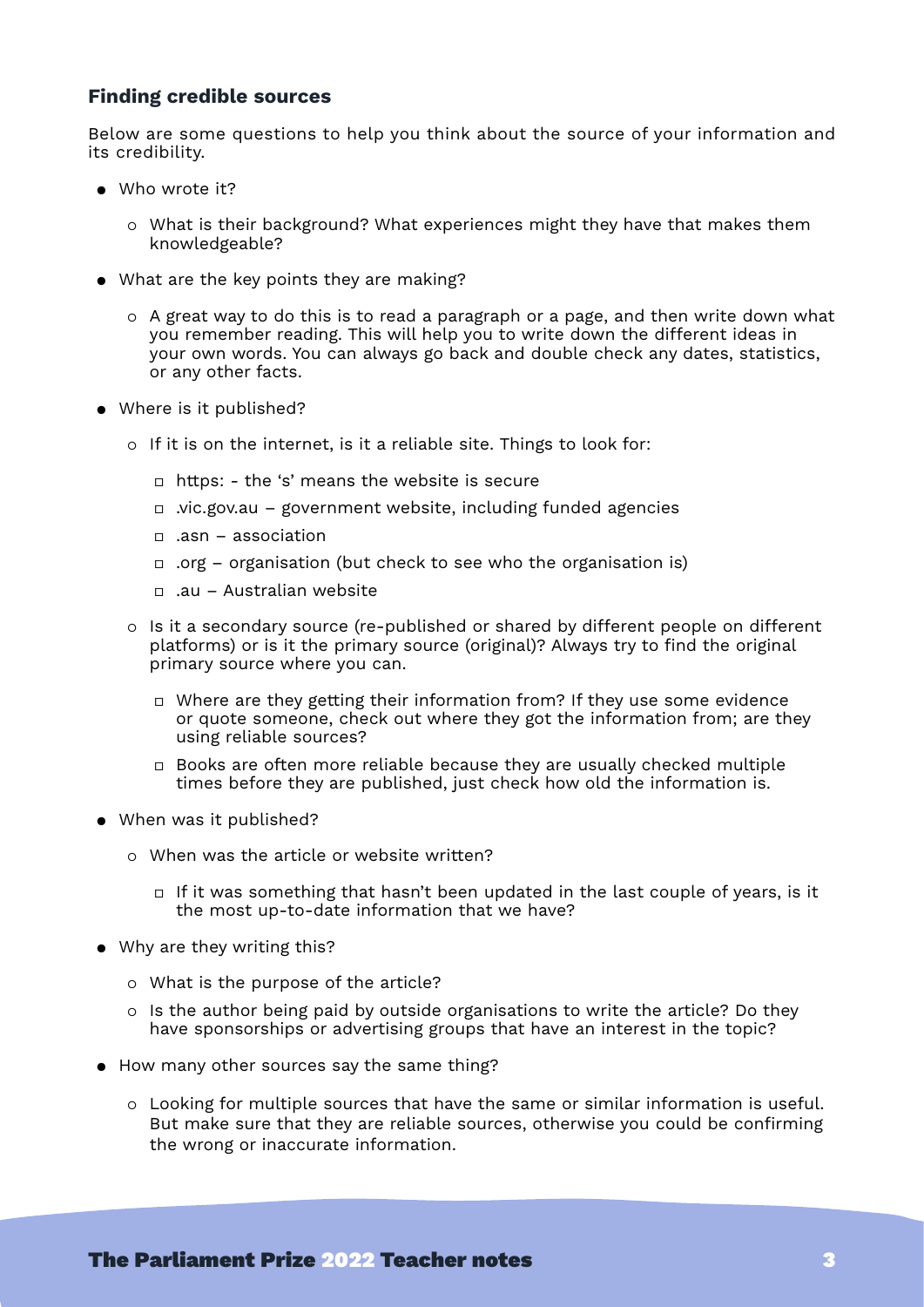# **Finding credible sources**

Below are some questions to help you think about the source of your information and its credibility.

- Who wrote it?
	- What is their background? What experiences might they have that makes them knowledgeable?
- What are the key points they are making?
	- $\circ$  A great way to do this is to read a paragraph or a page, and then write down what you remember reading. This will help you to write down the different ideas in your own words. You can always go back and double check any dates, statistics, or any other facts.
- Where is it published?
	- If it is on the internet, is it a reliable site. Things to look for:
		- □ https: the 's' means the website is secure
		- □ .vic.gov.au government website, including funded agencies
		- □ .asn association
		- □ .org organisation (but check to see who the organisation is)
		- □ .au Australian website
	- Is it a secondary source (re-published or shared by different people on different platforms) or is it the primary source (original)? Always try to find the original primary source where you can.
		- □ Where are they getting their information from? If they use some evidence or quote someone, check out where they got the information from; are they using reliable sources?
		- □ Books are often more reliable because they are usually checked multiple times before they are published, just check how old the information is.
- When was it published?
	- When was the article or website written?
		- □ If it was something that hasn't been updated in the last couple of years, is it the most up-to-date information that we have?
- Why are they writing this?
	- What is the purpose of the article?
	- Is the author being paid by outside organisations to write the article? Do they have sponsorships or advertising groups that have an interest in the topic?
- How many other sources say the same thing?
	- Looking for multiple sources that have the same or similar information is useful. But make sure that they are reliable sources, otherwise you could be confirming the wrong or inaccurate information.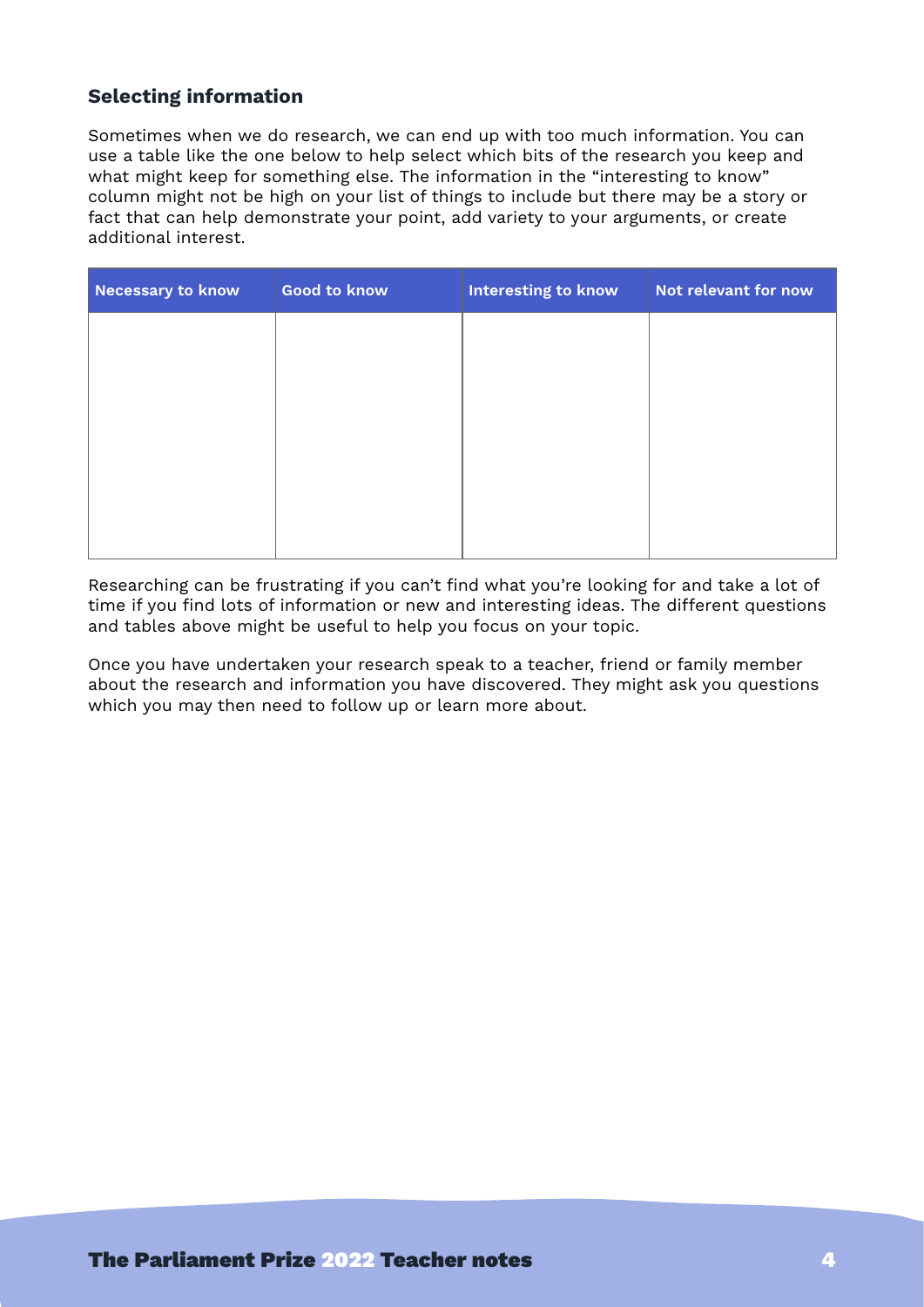# **Selecting information**

Sometimes when we do research, we can end up with too much information. You can use a table like the one below to help select which bits of the research you keep and what might keep for something else. The information in the "interesting to know" column might not be high on your list of things to include but there may be a story or fact that can help demonstrate your point, add variety to your arguments, or create additional interest.

| <b>Good to know</b> | <b>Interesting to know</b> | Not relevant for now |
|---------------------|----------------------------|----------------------|
|                     |                            |                      |
|                     |                            |                      |
|                     |                            |                      |
|                     |                            |                      |
|                     |                            |                      |
|                     |                            |                      |
|                     |                            |                      |

Researching can be frustrating if you can't find what you're looking for and take a lot of time if you find lots of information or new and interesting ideas. The different questions and tables above might be useful to help you focus on your topic.

Once you have undertaken your research speak to a teacher, friend or family member about the research and information you have discovered. They might ask you questions which you may then need to follow up or learn more about.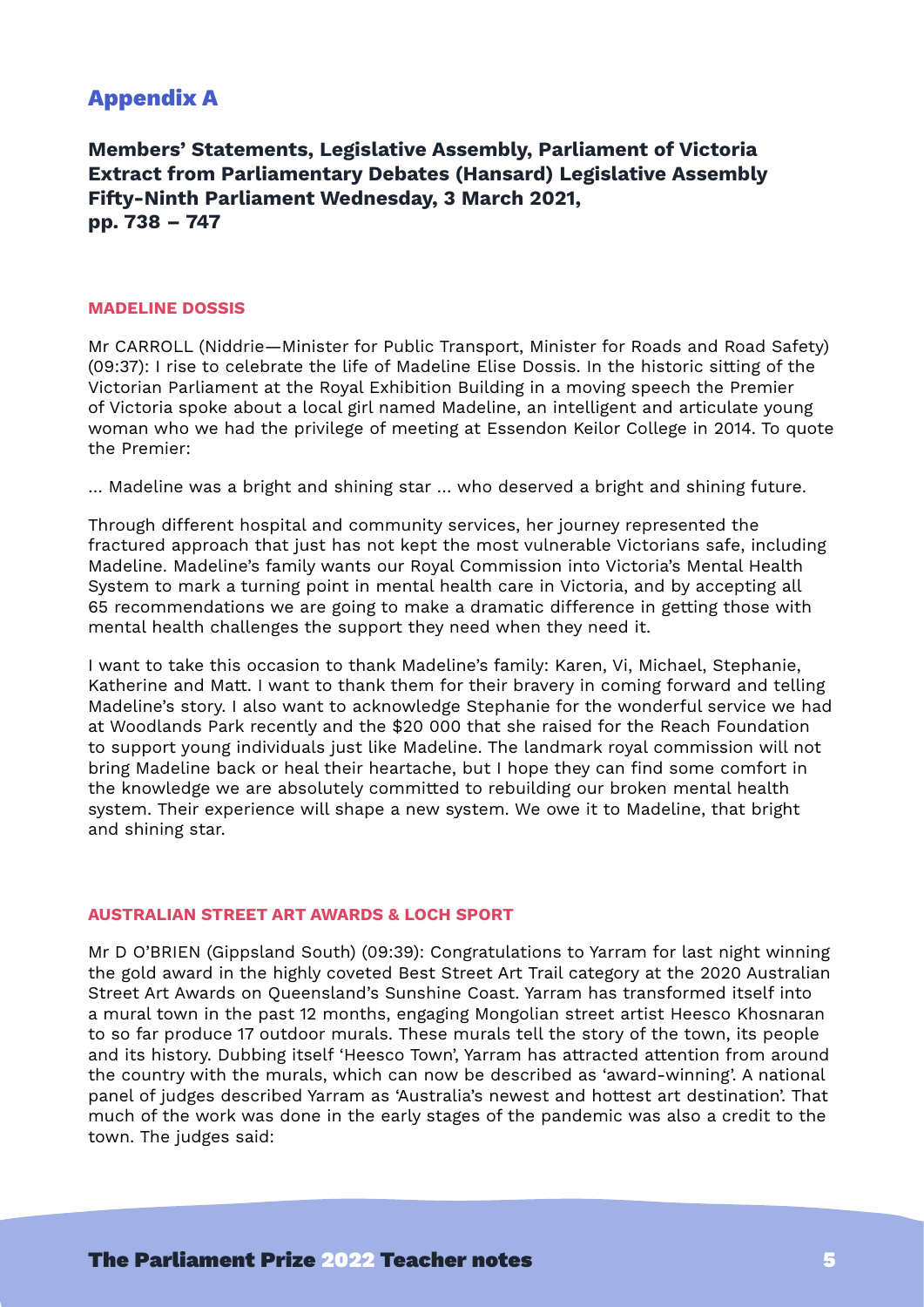# **Appendix A**

**Members' Statements, Legislative Assembly, Parliament of Victoria Extract from Parliamentary Debates (Hansard) Legislative Assembly Fifty-Ninth Parliament Wednesday, 3 March 2021, pp. 738 – 747**

### **MADELINE DOSSIS**

Mr CARROLL (Niddrie—Minister for Public Transport, Minister for Roads and Road Safety) (09:37): I rise to celebrate the life of Madeline Elise Dossis. In the historic sitting of the Victorian Parliament at the Royal Exhibition Building in a moving speech the Premier of Victoria spoke about a local girl named Madeline, an intelligent and articulate young woman who we had the privilege of meeting at Essendon Keilor College in 2014. To quote the Premier:

… Madeline was a bright and shining star … who deserved a bright and shining future.

Through different hospital and community services, her journey represented the fractured approach that just has not kept the most vulnerable Victorians safe, including Madeline. Madeline's family wants our Royal Commission into Victoria's Mental Health System to mark a turning point in mental health care in Victoria, and by accepting all 65 recommendations we are going to make a dramatic difference in getting those with mental health challenges the support they need when they need it.

I want to take this occasion to thank Madeline's family: Karen, Vi, Michael, Stephanie, Katherine and Matt. I want to thank them for their bravery in coming forward and telling Madeline's story. I also want to acknowledge Stephanie for the wonderful service we had at Woodlands Park recently and the \$20 000 that she raised for the Reach Foundation to support young individuals just like Madeline. The landmark royal commission will not bring Madeline back or heal their heartache, but I hope they can find some comfort in the knowledge we are absolutely committed to rebuilding our broken mental health system. Their experience will shape a new system. We owe it to Madeline, that bright and shining star.

### **AUSTRALIAN STREET ART AWARDS & LOCH SPORT**

Mr D O'BRIEN (Gippsland South) (09:39): Congratulations to Yarram for last night winning the gold award in the highly coveted Best Street Art Trail category at the 2020 Australian Street Art Awards on Queensland's Sunshine Coast. Yarram has transformed itself into a mural town in the past 12 months, engaging Mongolian street artist Heesco Khosnaran to so far produce 17 outdoor murals. These murals tell the story of the town, its people and its history. Dubbing itself 'Heesco Town', Yarram has attracted attention from around the country with the murals, which can now be described as 'award-winning'. A national panel of judges described Yarram as 'Australia's newest and hottest art destination'. That much of the work was done in the early stages of the pandemic was also a credit to the town. The judges said: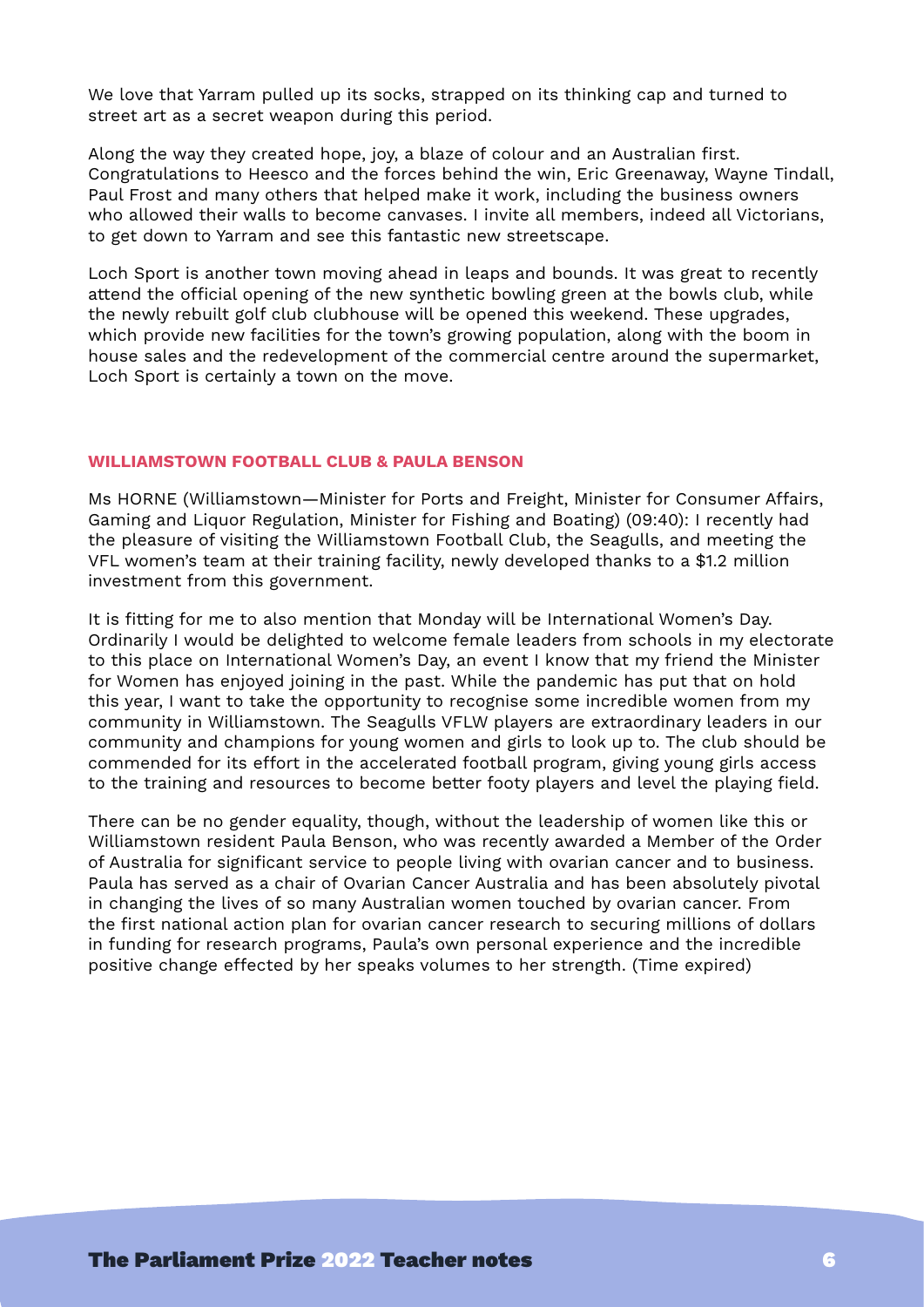We love that Yarram pulled up its socks, strapped on its thinking cap and turned to street art as a secret weapon during this period.

Along the way they created hope, joy, a blaze of colour and an Australian first. Congratulations to Heesco and the forces behind the win, Eric Greenaway, Wayne Tindall, Paul Frost and many others that helped make it work, including the business owners who allowed their walls to become canvases. I invite all members, indeed all Victorians, to get down to Yarram and see this fantastic new streetscape.

Loch Sport is another town moving ahead in leaps and bounds. It was great to recently attend the official opening of the new synthetic bowling green at the bowls club, while the newly rebuilt golf club clubhouse will be opened this weekend. These upgrades, which provide new facilities for the town's growing population, along with the boom in house sales and the redevelopment of the commercial centre around the supermarket, Loch Sport is certainly a town on the move.

### **WILLIAMSTOWN FOOTBALL CLUB & PAULA BENSON**

Ms HORNE (Williamstown—Minister for Ports and Freight, Minister for Consumer Affairs, Gaming and Liquor Regulation, Minister for Fishing and Boating) (09:40): I recently had the pleasure of visiting the Williamstown Football Club, the Seagulls, and meeting the VFL women's team at their training facility, newly developed thanks to a \$1.2 million investment from this government.

It is fitting for me to also mention that Monday will be International Women's Day. Ordinarily I would be delighted to welcome female leaders from schools in my electorate to this place on International Women's Day, an event I know that my friend the Minister for Women has enjoyed joining in the past. While the pandemic has put that on hold this year, I want to take the opportunity to recognise some incredible women from my community in Williamstown. The Seagulls VFLW players are extraordinary leaders in our community and champions for young women and girls to look up to. The club should be commended for its effort in the accelerated football program, giving young girls access to the training and resources to become better footy players and level the playing field.

There can be no gender equality, though, without the leadership of women like this or Williamstown resident Paula Benson, who was recently awarded a Member of the Order of Australia for significant service to people living with ovarian cancer and to business. Paula has served as a chair of Ovarian Cancer Australia and has been absolutely pivotal in changing the lives of so many Australian women touched by ovarian cancer. From the first national action plan for ovarian cancer research to securing millions of dollars in funding for research programs, Paula's own personal experience and the incredible positive change effected by her speaks volumes to her strength. (Time expired)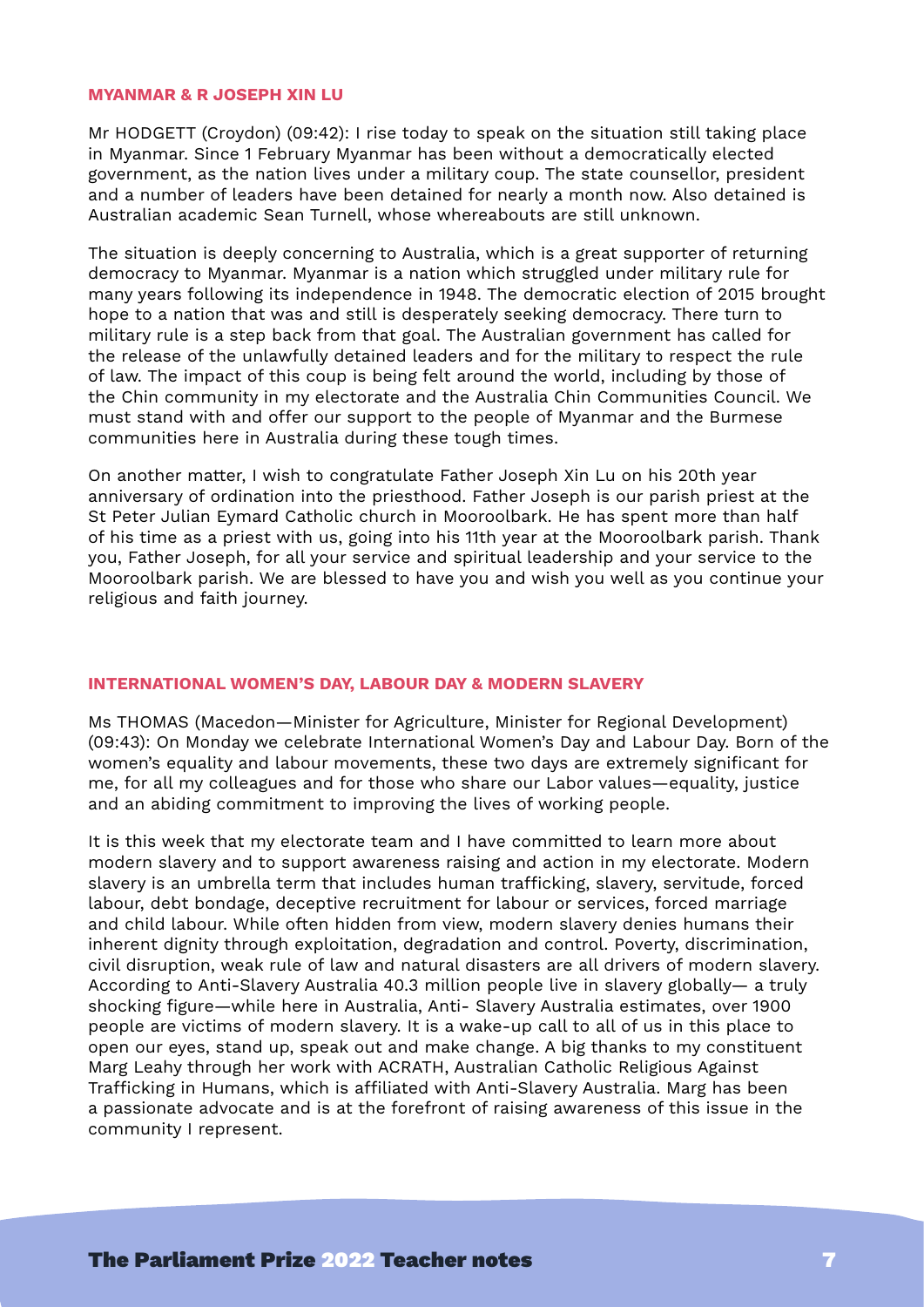#### **MYANMAR & R JOSEPH XIN LU**

Mr HODGETT (Croydon) (09:42): I rise today to speak on the situation still taking place in Myanmar. Since 1 February Myanmar has been without a democratically elected government, as the nation lives under a military coup. The state counsellor, president and a number of leaders have been detained for nearly a month now. Also detained is Australian academic Sean Turnell, whose whereabouts are still unknown.

The situation is deeply concerning to Australia, which is a great supporter of returning democracy to Myanmar. Myanmar is a nation which struggled under military rule for many years following its independence in 1948. The democratic election of 2015 brought hope to a nation that was and still is desperately seeking democracy. There turn to military rule is a step back from that goal. The Australian government has called for the release of the unlawfully detained leaders and for the military to respect the rule of law. The impact of this coup is being felt around the world, including by those of the Chin community in my electorate and the Australia Chin Communities Council. We must stand with and offer our support to the people of Myanmar and the Burmese communities here in Australia during these tough times.

On another matter, I wish to congratulate Father Joseph Xin Lu on his 20th year anniversary of ordination into the priesthood. Father Joseph is our parish priest at the St Peter Julian Eymard Catholic church in Mooroolbark. He has spent more than half of his time as a priest with us, going into his 11th year at the Mooroolbark parish. Thank you, Father Joseph, for all your service and spiritual leadership and your service to the Mooroolbark parish. We are blessed to have you and wish you well as you continue your religious and faith journey.

#### **INTERNATIONAL WOMEN'S DAY, LABOUR DAY & MODERN SLAVERY**

Ms THOMAS (Macedon—Minister for Agriculture, Minister for Regional Development) (09:43): On Monday we celebrate International Women's Day and Labour Day. Born of the women's equality and labour movements, these two days are extremely significant for me, for all my colleagues and for those who share our Labor values—equality, justice and an abiding commitment to improving the lives of working people.

It is this week that my electorate team and I have committed to learn more about modern slavery and to support awareness raising and action in my electorate. Modern slavery is an umbrella term that includes human trafficking, slavery, servitude, forced labour, debt bondage, deceptive recruitment for labour or services, forced marriage and child labour. While often hidden from view, modern slavery denies humans their inherent dignity through exploitation, degradation and control. Poverty, discrimination, civil disruption, weak rule of law and natural disasters are all drivers of modern slavery. According to Anti-Slavery Australia 40.3 million people live in slavery globally— a truly shocking figure—while here in Australia, Anti- Slavery Australia estimates, over 1900 people are victims of modern slavery. It is a wake-up call to all of us in this place to open our eyes, stand up, speak out and make change. A big thanks to my constituent Marg Leahy through her work with ACRATH, Australian Catholic Religious Against Trafficking in Humans, which is affiliated with Anti-Slavery Australia. Marg has been a passionate advocate and is at the forefront of raising awareness of this issue in the community I represent.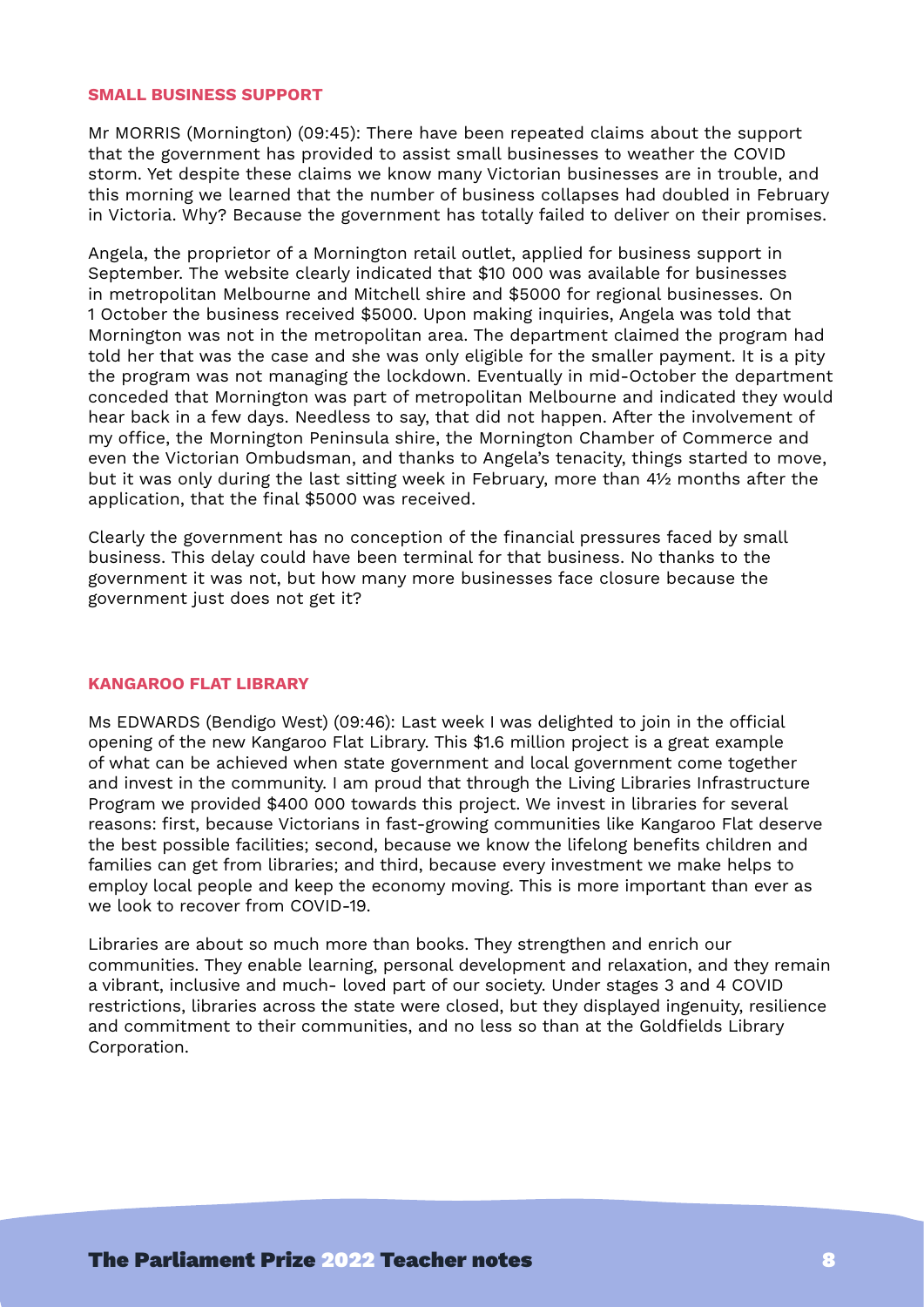#### **SMALL BUSINESS SUPPORT**

Mr MORRIS (Mornington) (09:45): There have been repeated claims about the support that the government has provided to assist small businesses to weather the COVID storm. Yet despite these claims we know many Victorian businesses are in trouble, and this morning we learned that the number of business collapses had doubled in February in Victoria. Why? Because the government has totally failed to deliver on their promises.

Angela, the proprietor of a Mornington retail outlet, applied for business support in September. The website clearly indicated that \$10 000 was available for businesses in metropolitan Melbourne and Mitchell shire and \$5000 for regional businesses. On 1 October the business received \$5000. Upon making inquiries, Angela was told that Mornington was not in the metropolitan area. The department claimed the program had told her that was the case and she was only eligible for the smaller payment. It is a pity the program was not managing the lockdown. Eventually in mid-October the department conceded that Mornington was part of metropolitan Melbourne and indicated they would hear back in a few days. Needless to say, that did not happen. After the involvement of my office, the Mornington Peninsula shire, the Mornington Chamber of Commerce and even the Victorian Ombudsman, and thanks to Angela's tenacity, things started to move, but it was only during the last sitting week in February, more than 4½ months after the application, that the final \$5000 was received.

Clearly the government has no conception of the financial pressures faced by small business. This delay could have been terminal for that business. No thanks to the government it was not, but how many more businesses face closure because the government just does not get it?

#### **KANGAROO FLAT LIBRARY**

Ms EDWARDS (Bendigo West) (09:46): Last week I was delighted to join in the official opening of the new Kangaroo Flat Library. This \$1.6 million project is a great example of what can be achieved when state government and local government come together and invest in the community. I am proud that through the Living Libraries Infrastructure Program we provided \$400 000 towards this project. We invest in libraries for several reasons: first, because Victorians in fast-growing communities like Kangaroo Flat deserve the best possible facilities; second, because we know the lifelong benefits children and families can get from libraries; and third, because every investment we make helps to employ local people and keep the economy moving. This is more important than ever as we look to recover from COVID-19.

Libraries are about so much more than books. They strengthen and enrich our communities. They enable learning, personal development and relaxation, and they remain a vibrant, inclusive and much- loved part of our society. Under stages 3 and 4 COVID restrictions, libraries across the state were closed, but they displayed ingenuity, resilience and commitment to their communities, and no less so than at the Goldfields Library Corporation.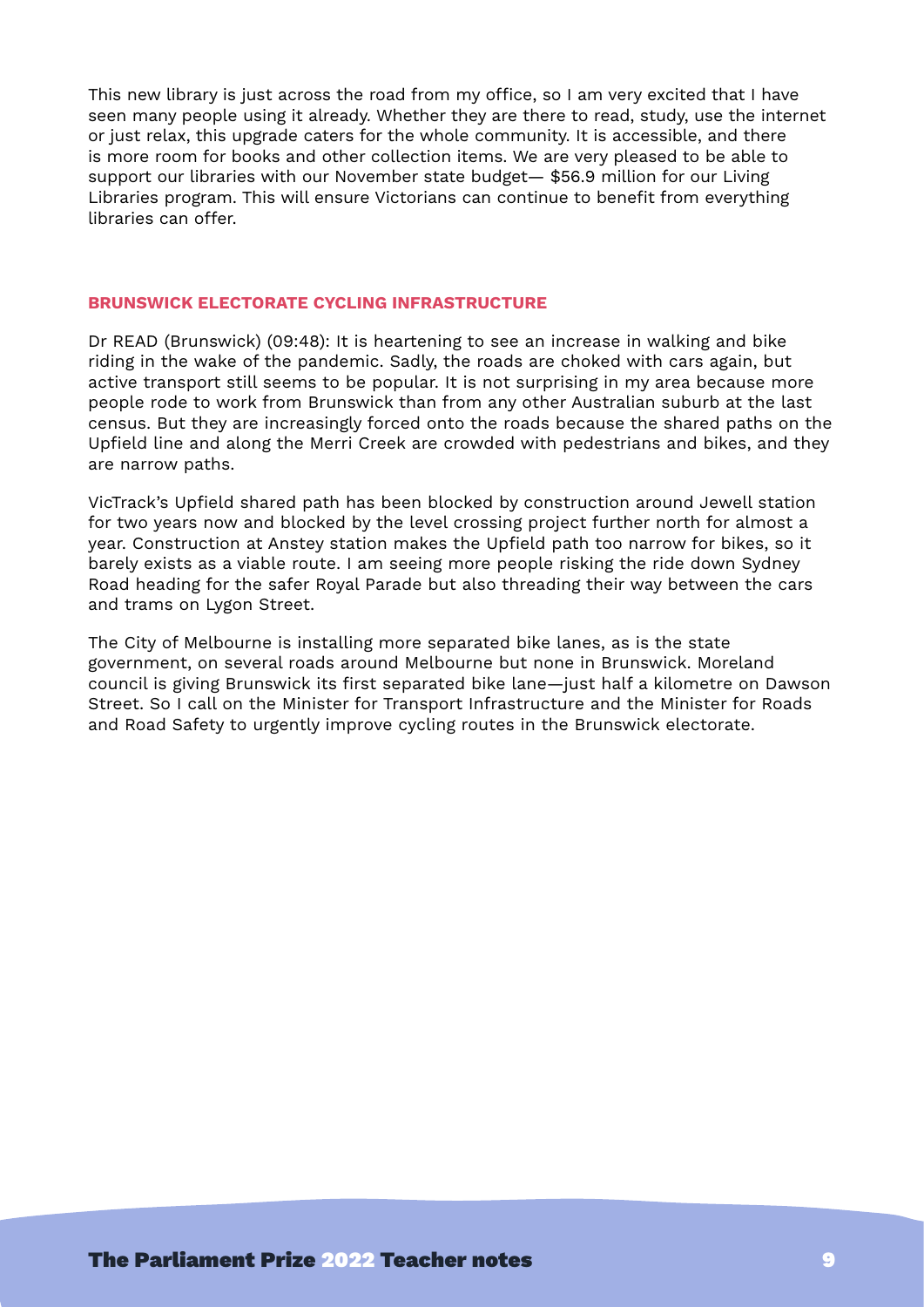This new library is just across the road from my office, so I am very excited that I have seen many people using it already. Whether they are there to read, study, use the internet or just relax, this upgrade caters for the whole community. It is accessible, and there is more room for books and other collection items. We are very pleased to be able to support our libraries with our November state budget— \$56.9 million for our Living Libraries program. This will ensure Victorians can continue to benefit from everything libraries can offer.

### **BRUNSWICK ELECTORATE CYCLING INFRASTRUCTURE**

Dr READ (Brunswick) (09:48): It is heartening to see an increase in walking and bike riding in the wake of the pandemic. Sadly, the roads are choked with cars again, but active transport still seems to be popular. It is not surprising in my area because more people rode to work from Brunswick than from any other Australian suburb at the last census. But they are increasingly forced onto the roads because the shared paths on the Upfield line and along the Merri Creek are crowded with pedestrians and bikes, and they are narrow paths.

VicTrack's Upfield shared path has been blocked by construction around Jewell station for two years now and blocked by the level crossing project further north for almost a year. Construction at Anstey station makes the Upfield path too narrow for bikes, so it barely exists as a viable route. I am seeing more people risking the ride down Sydney Road heading for the safer Royal Parade but also threading their way between the cars and trams on Lygon Street.

The City of Melbourne is installing more separated bike lanes, as is the state government, on several roads around Melbourne but none in Brunswick. Moreland council is giving Brunswick its first separated bike lane—just half a kilometre on Dawson Street. So I call on the Minister for Transport Infrastructure and the Minister for Roads and Road Safety to urgently improve cycling routes in the Brunswick electorate.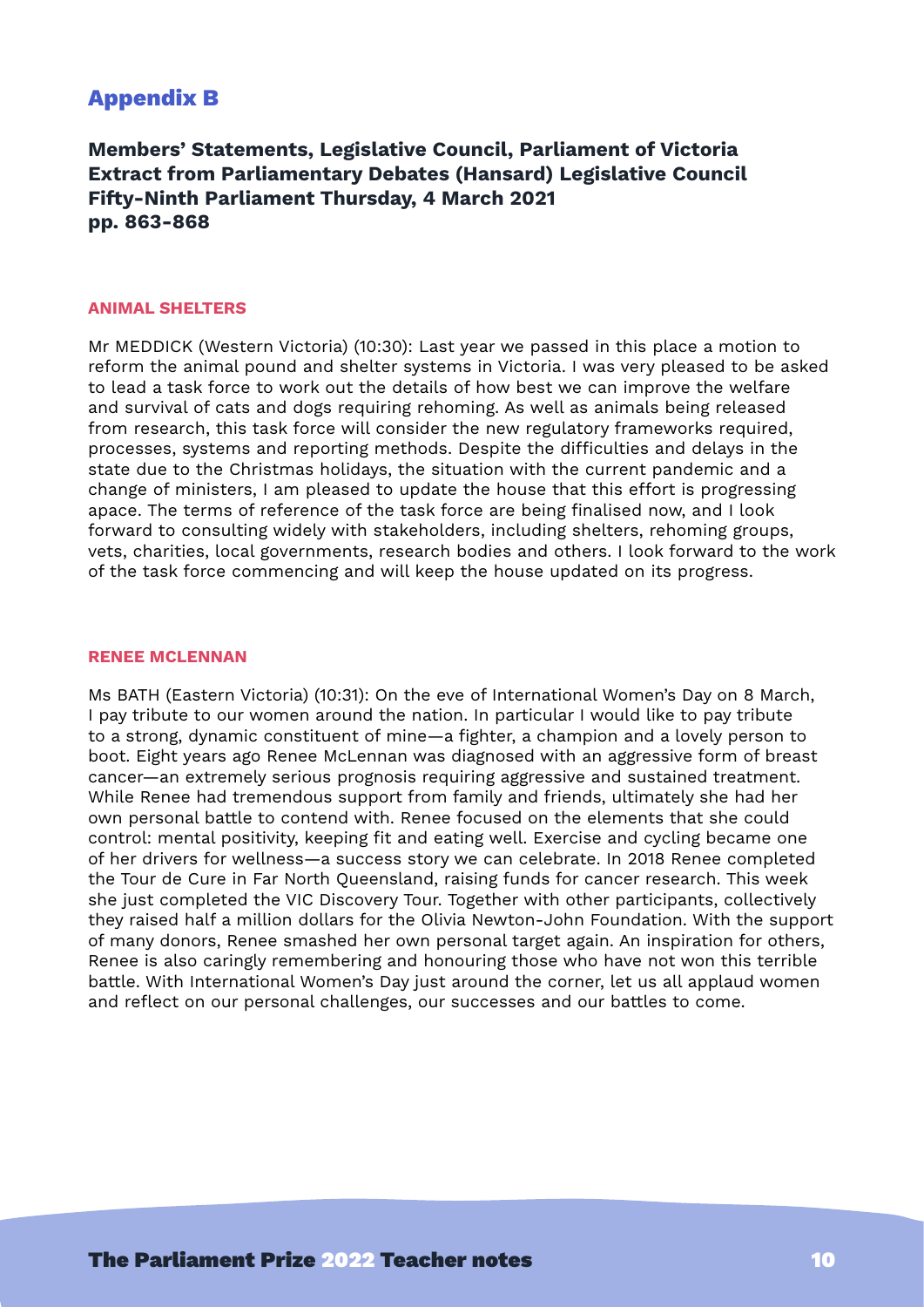# **Appendix B**

# **Members' Statements, Legislative Council, Parliament of Victoria Extract from Parliamentary Debates (Hansard) Legislative Council Fifty-Ninth Parliament Thursday, 4 March 2021 pp. 863-868**

#### **ANIMAL SHELTERS**

Mr MEDDICK (Western Victoria) (10:30): Last year we passed in this place a motion to reform the animal pound and shelter systems in Victoria. I was very pleased to be asked to lead a task force to work out the details of how best we can improve the welfare and survival of cats and dogs requiring rehoming. As well as animals being released from research, this task force will consider the new regulatory frameworks required, processes, systems and reporting methods. Despite the difficulties and delays in the state due to the Christmas holidays, the situation with the current pandemic and a change of ministers, I am pleased to update the house that this effort is progressing apace. The terms of reference of the task force are being finalised now, and I look forward to consulting widely with stakeholders, including shelters, rehoming groups, vets, charities, local governments, research bodies and others. I look forward to the work of the task force commencing and will keep the house updated on its progress.

#### **RENEE MCLENNAN**

Ms BATH (Eastern Victoria) (10:31): On the eve of International Women's Day on 8 March, I pay tribute to our women around the nation. In particular I would like to pay tribute to a strong, dynamic constituent of mine—a fighter, a champion and a lovely person to boot. Eight years ago Renee McLennan was diagnosed with an aggressive form of breast cancer—an extremely serious prognosis requiring aggressive and sustained treatment. While Renee had tremendous support from family and friends, ultimately she had her own personal battle to contend with. Renee focused on the elements that she could control: mental positivity, keeping fit and eating well. Exercise and cycling became one of her drivers for wellness—a success story we can celebrate. In 2018 Renee completed the Tour de Cure in Far North Queensland, raising funds for cancer research. This week she just completed the VIC Discovery Tour. Together with other participants, collectively they raised half a million dollars for the Olivia Newton-John Foundation. With the support of many donors, Renee smashed her own personal target again. An inspiration for others, Renee is also caringly remembering and honouring those who have not won this terrible battle. With International Women's Day just around the corner, let us all applaud women and reflect on our personal challenges, our successes and our battles to come.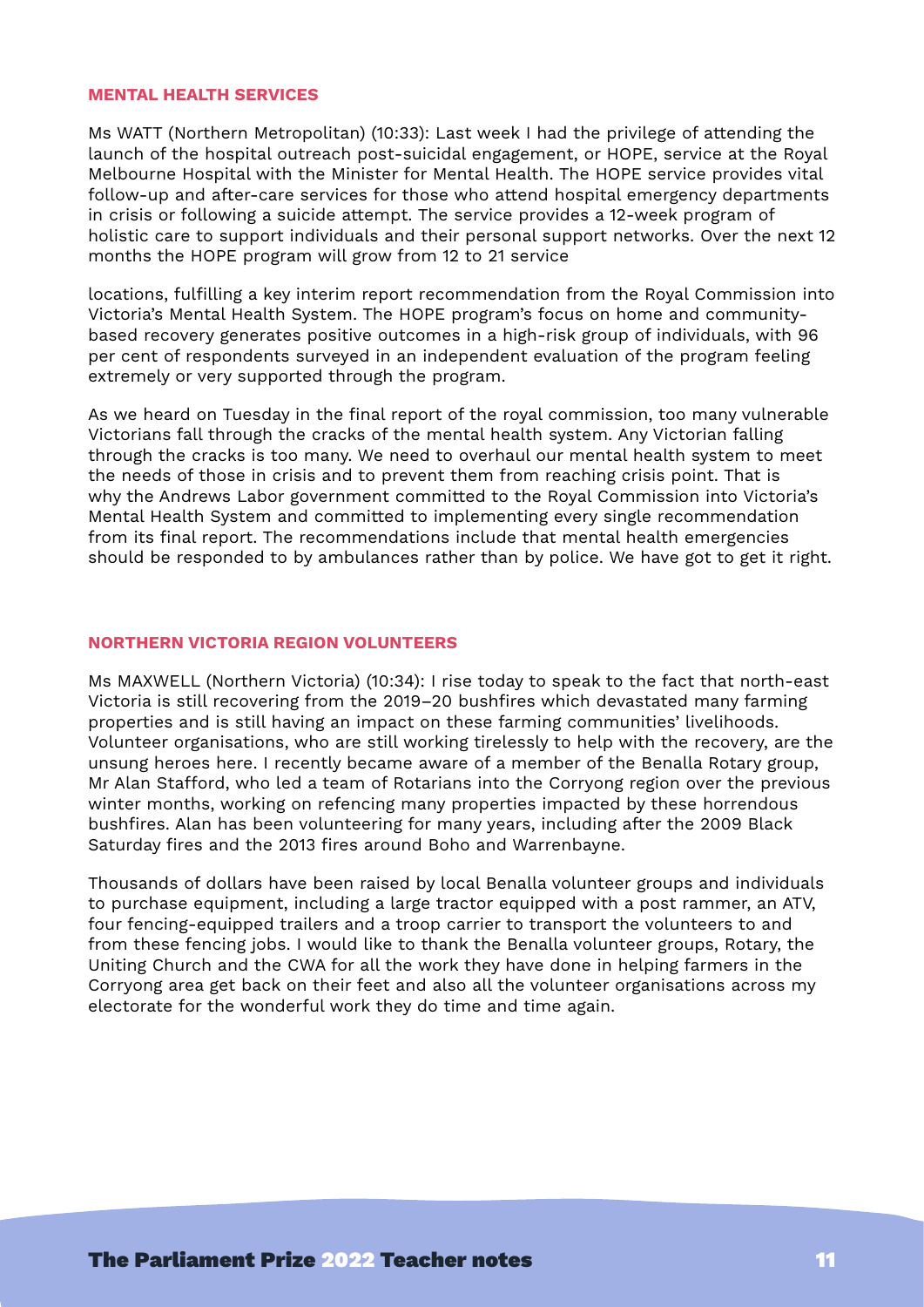### **MENTAL HEALTH SERVICES**

Ms WATT (Northern Metropolitan) (10:33): Last week I had the privilege of attending the launch of the hospital outreach post-suicidal engagement, or HOPE, service at the Royal Melbourne Hospital with the Minister for Mental Health. The HOPE service provides vital follow-up and after-care services for those who attend hospital emergency departments in crisis or following a suicide attempt. The service provides a 12-week program of holistic care to support individuals and their personal support networks. Over the next 12 months the HOPE program will grow from 12 to 21 service

locations, fulfilling a key interim report recommendation from the Royal Commission into Victoria's Mental Health System. The HOPE program's focus on home and communitybased recovery generates positive outcomes in a high-risk group of individuals, with 96 per cent of respondents surveyed in an independent evaluation of the program feeling extremely or very supported through the program.

As we heard on Tuesday in the final report of the royal commission, too many vulnerable Victorians fall through the cracks of the mental health system. Any Victorian falling through the cracks is too many. We need to overhaul our mental health system to meet the needs of those in crisis and to prevent them from reaching crisis point. That is why the Andrews Labor government committed to the Royal Commission into Victoria's Mental Health System and committed to implementing every single recommendation from its final report. The recommendations include that mental health emergencies should be responded to by ambulances rather than by police. We have got to get it right.

### **NORTHERN VICTORIA REGION VOLUNTEERS**

Ms MAXWELL (Northern Victoria) (10:34): I rise today to speak to the fact that north-east Victoria is still recovering from the 2019–20 bushfires which devastated many farming properties and is still having an impact on these farming communities' livelihoods. Volunteer organisations, who are still working tirelessly to help with the recovery, are the unsung heroes here. I recently became aware of a member of the Benalla Rotary group, Mr Alan Stafford, who led a team of Rotarians into the Corryong region over the previous winter months, working on refencing many properties impacted by these horrendous bushfires. Alan has been volunteering for many years, including after the 2009 Black Saturday fires and the 2013 fires around Boho and Warrenbayne.

Thousands of dollars have been raised by local Benalla volunteer groups and individuals to purchase equipment, including a large tractor equipped with a post rammer, an ATV, four fencing-equipped trailers and a troop carrier to transport the volunteers to and from these fencing jobs. I would like to thank the Benalla volunteer groups, Rotary, the Uniting Church and the CWA for all the work they have done in helping farmers in the Corryong area get back on their feet and also all the volunteer organisations across my electorate for the wonderful work they do time and time again.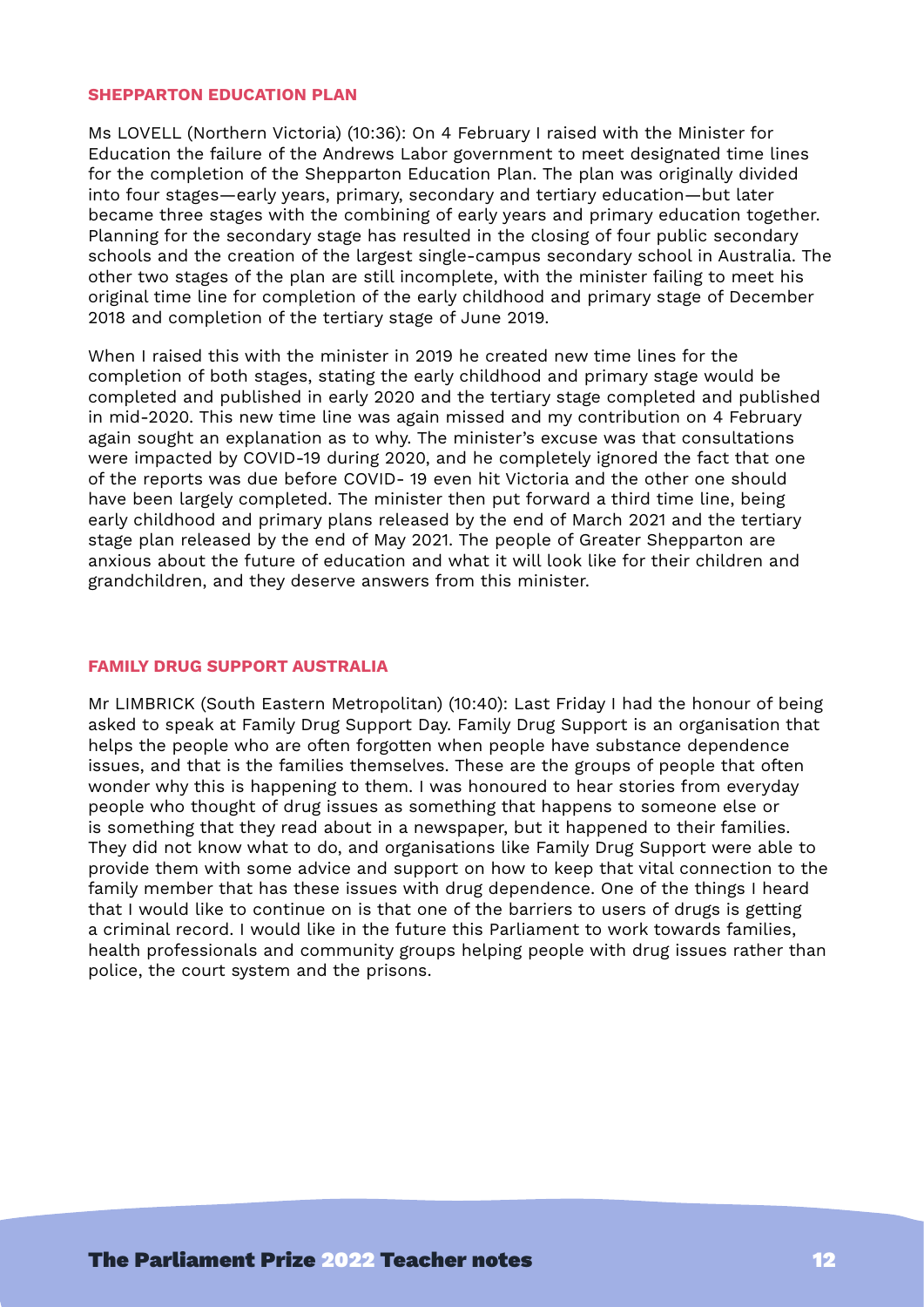### **SHEPPARTON EDUCATION PLAN**

Ms LOVELL (Northern Victoria) (10:36): On 4 February I raised with the Minister for Education the failure of the Andrews Labor government to meet designated time lines for the completion of the Shepparton Education Plan. The plan was originally divided into four stages—early years, primary, secondary and tertiary education—but later became three stages with the combining of early years and primary education together. Planning for the secondary stage has resulted in the closing of four public secondary schools and the creation of the largest single-campus secondary school in Australia. The other two stages of the plan are still incomplete, with the minister failing to meet his original time line for completion of the early childhood and primary stage of December 2018 and completion of the tertiary stage of June 2019.

When I raised this with the minister in 2019 he created new time lines for the completion of both stages, stating the early childhood and primary stage would be completed and published in early 2020 and the tertiary stage completed and published in mid-2020. This new time line was again missed and my contribution on 4 February again sought an explanation as to why. The minister's excuse was that consultations were impacted by COVID-19 during 2020, and he completely ignored the fact that one of the reports was due before COVID- 19 even hit Victoria and the other one should have been largely completed. The minister then put forward a third time line, being early childhood and primary plans released by the end of March 2021 and the tertiary stage plan released by the end of May 2021. The people of Greater Shepparton are anxious about the future of education and what it will look like for their children and grandchildren, and they deserve answers from this minister.

#### **FAMILY DRUG SUPPORT AUSTRALIA**

Mr LIMBRICK (South Eastern Metropolitan) (10:40): Last Friday I had the honour of being asked to speak at Family Drug Support Day. Family Drug Support is an organisation that helps the people who are often forgotten when people have substance dependence issues, and that is the families themselves. These are the groups of people that often wonder why this is happening to them. I was honoured to hear stories from everyday people who thought of drug issues as something that happens to someone else or is something that they read about in a newspaper, but it happened to their families. They did not know what to do, and organisations like Family Drug Support were able to provide them with some advice and support on how to keep that vital connection to the family member that has these issues with drug dependence. One of the things I heard that I would like to continue on is that one of the barriers to users of drugs is getting a criminal record. I would like in the future this Parliament to work towards families, health professionals and community groups helping people with drug issues rather than police, the court system and the prisons.